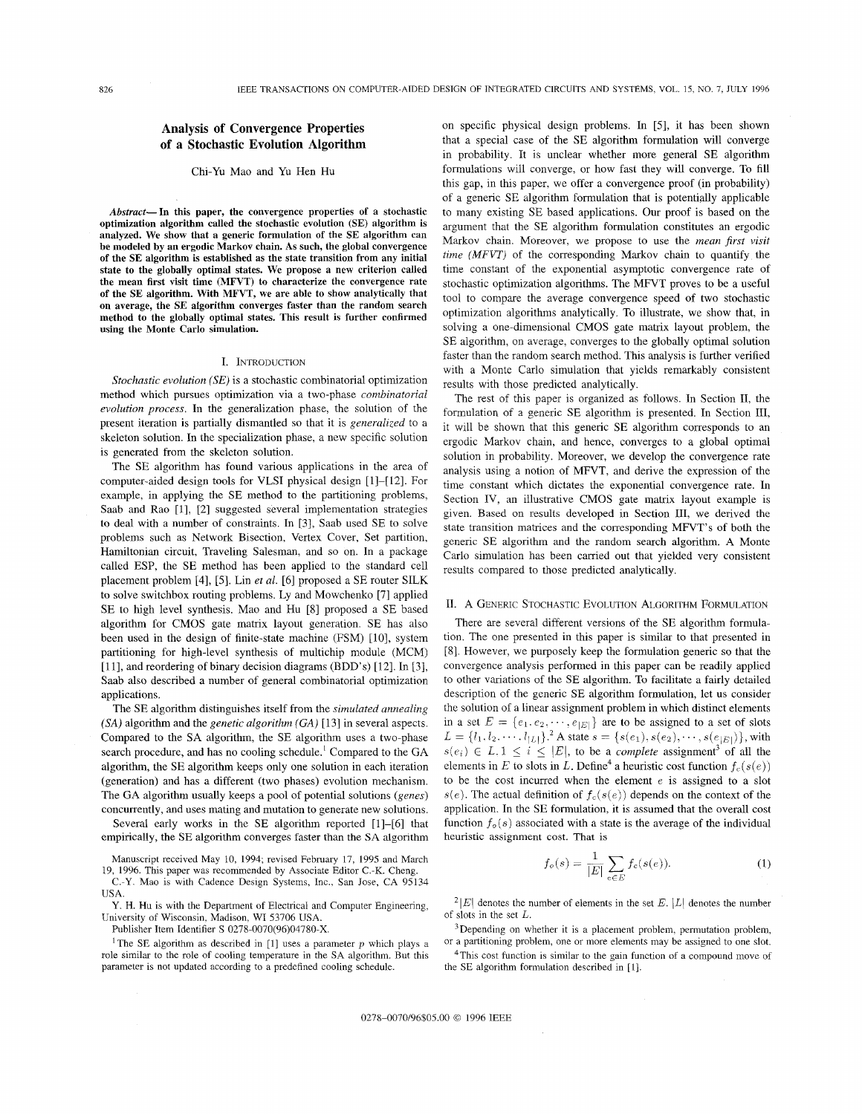# **Analysis of Convergence Properties of a Stochastic Evolution Algorithm**

## Chi-Yu Mao and Yu Hen Hu

*Abstruct-* **In this paper, the convergence properties of a stochastic optimization algorithm called the stochastic evolution (SE) algorithm is analyzed. We show that a generic formulation of the SE algorithm can be modeled by** an **ergodic Markov chain. As such, the global convergence of the SE algorithm is established as the state transition from any initial state to the globally optimal states. We propose a new criterion called the mean first visit time (MFVT) to characterize the convergence rate of the SE algorithm. With MFVT, we are able to show analytically that on average, the SE algorithm converges faster than the random search method to the globally optimal states. This result is further confirmed using the Monte Carlo simulation.** 

## I. INTRODUCTION

*Stochastic evolution (SE)* is a stochastic combinatorial optimization method which pursues optimization via a two-phase *combinatorial evolution process,* In the generalization phase, the solution of the present iteration is partially dismantled so that it is *generalized* to a skeleton solution. In the specialization phase, a new specific solution is generated from the skeleton solution.

The SE algorithm has found various applications in the area of computer-aided design tools for VLSI physical design [1]-[12]. For example, in applying the SE method to the partitioning problems, Saab and Rao [l], [2] suggested several implementation strategies to deal with a number of constraints. In [3], Saab used SE to solve problems such as Network Bisection, Vertex Cover, Set partition, Hamiltonian circuit, Traveling Salesman, and so on. In a package called ESP, the SE method has been applied to the standard cell placement problem [4], *[5].* Lin *et al.* [6] proposed a SE router SILK to solve switchbox routing problems. Ly and Mowchenko [7] applied SE to high level synthesis. Mao and Hu [8] proposed a SE based algorithm for CMOS gate matrix layout generation. SE has also been used in the design of finite-state machine (FSM) [10], system partitioning for high-level synthesis of multichip module (MCM) [ll], and reordering of binary decision diagrams (BDD's) [12]. In [3], Saab also described a number of general combinatorial optimization applications.

The SE algorithm distinguishes itself from the *simulated annealing*  (SA) algorithm and the *genetic algorithm* (GA) [13] in several aspects. Compared to the SA algorithm, the SE algorithm uses a two-phase search procedure, and has no cooling schedule.' Compared to the GA algorithm, the SE algorithm keeps only one solution in each iteration (generation) and has a different (two phases) evolution mechanism. The GA algorithm usually keeps a pool of potential solutions *(genes)*  concurrently, and uses mating and mutation to generate new solutions.

Several early works in the SE algorithm reported [1]-[6] that empirically, the **SE** algorithm converges faster than the **SA** algorithm

Manuscript received May 10, 1994; revised February 17, 1995 and March 19, 1996. This paper was recommended by Associate Editor C.-K. Cheng.

C.-Y. Mao is with Cadence Design Systems, Inc., San Jose, **CA** 95134 USA.

Y. H. Hu is with the Department of Electrical and Computer Engineering, University of Wisconsin, Madison, WI 53706 USA.

Publisher Item Identifier S 0278-0070(96)04780-X.

<sup>1</sup>The SE algorithm as described in [1] uses a parameter  $p$  which plays a role similar to the role of cooling temperature in the SA algorithm. But this parameter is not updated according to a predefined cooling schedule.

on specific physical design problems. In 151, it has been shown that a special case of the SE algorithm formulation will converge in probability. It is unclear whether more general SE algorithm formulations will converge, or how fast they will converge. To fill this gap, in this paper, we offer a convergence proof (in probability) of a generic SE algorithm formulation that is potentially applicable to many existing SE based applications. Our proof is based on the argument that the SE algorithm formulation constitutes an ergodic Markov chain. Moreover, we propose to use the *mean first visit time (MFVT)* of the corresponding Markov chain to quantify the time constant of the exponential asymptotic convergence rate of stochastic optimization algorithms. The MFVT proves to be a useful tool to compare the average convergence speed of two stochastic optimization algorithms analytically. To illustrate, we show that, in solving a one-dimensional CMOS gate matrix layout problem, the SE algorithm, on average, converges to the globally optimal solution faster than the random search method. This analysis is further verified with a Monte Carlo simulation that yields remarkably consistent results with those predicted analytically.

The rest of this paper is organized as follows. In Section 11, the formulation of a generic SE algorithm is presented. In Section 111, it will be shown that this generic SE algorithm corresponds to an ergodic Markov chain, and hence, converges to a global optimal solution in probability. Moreover, we develop the convergence rate analysis using a notion of MFVT, and derive the expression of the time constant which dictates the exponential convergence rate. In Section IV, an illustrative CMOS gate matrix layout example is given. Based on results developed in Section 111, we derived the state transition matrices and the corresponding MFVT's of both the generic SE algorithm and the random search algorithm. **A** Monte Carlo simulation has been carried out that yielded very consistent results compared to those predicted analytically.

#### 11. A GENERIC STOCHASTIC EVOLUTION ALGORITHM FORMULATION

There are several different versions of the SE algorithm formulation. The one presented in this paper is similar to that presented in [8]. However, we purposely keep the formulation generic so that the convergence analysis performed in this paper can be readily applied to other variations of the SE algorithm. To facilitate a fairly detailed description of the generic SE algorithm formulation, let us consider the solution of a linear assignment problem in which distinct elements in a set  $E = \{e_1, e_2, \dots, e_{|E|}\}\$ are to be assigned to a set of slots  $L = \{l_1, l_2, \dots, l_{|L|}\}$ <sup>2</sup> A state  $s = \{s(e_1), s(e_2), \dots, s(e_{|E|})\}$ , with  $s(e_i) \in L, 1 \leq i \leq |E|$ , to be a *complete* assignment<sup>3</sup> of all the elements in *E* to slots in *L*. Define<sup>4</sup> a heuristic cost function  $f_c(s(e))$ to be the cost incurred when the element  $e$  is assigned to a slot  $s(e)$ . The actual definition of  $f_c(s(e))$  depends on the context of the application. In the SE formulation, it is assumed that the overall cost function  $f_o(s)$  associated with a state is the average of the individual heuristic assignment cost. That is

$$
f_o(s) = \frac{1}{|E|} \sum_{e \in E} f_c(s(e)).
$$
 (1)

<sup>2</sup>|E| denotes the number of elements in the set *E*. |L| denotes the number of slots in the set *L.* 

<sup>3</sup>Depending on whether it is a placement problem, permutation problem, or a partitioning problem, one or more elements may be assigned to one slot.

4This cost function is similar to the gain function of a compound move of the SE algorithm formulation described in [I].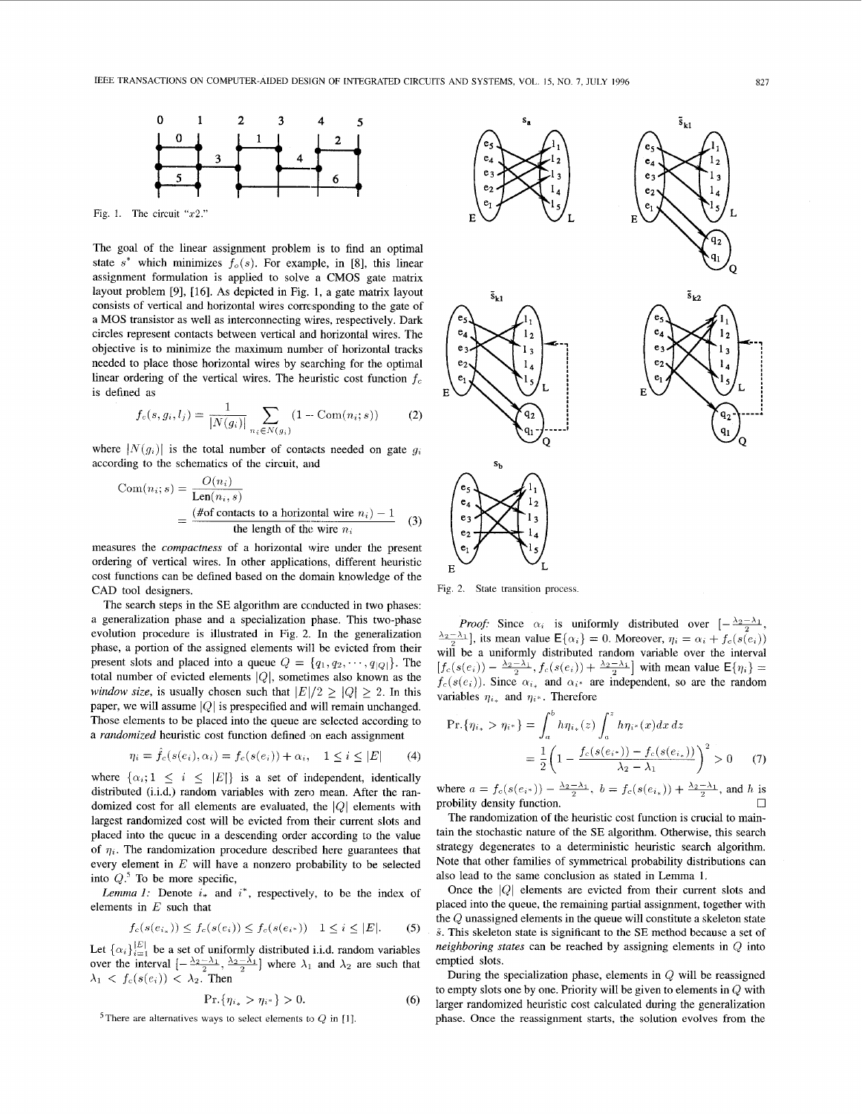

Fig. 1. The circuit *"x2."* 

The goal of the linear assignment problem is to find an optimal state  $s^*$  which minimizes  $f_0(s)$ . For example, in [8], this linear assignment formulation is applied to solve **a** CMOS gate matrix layout problem [9], [16]. **As** depicted in Fig. **1,** a gate matrix layout consists of vertical and horizontal wires corresponding to the gate of **a** MOS transistor as well as interconnecting wires, respectively. Dark circles represent contacts between vertical and horizontal wires. The objective is to minimize the maximum number of horizontal tracks needed to place those horizontal wires by searching for the optimal linear ordering of the vertical wires. The heuristic cost function  $f_c$ is defined **as** 

$$
f_c(s, g_i, l_j) = \frac{1}{|N(g_i)|} \sum_{n_i \in N(g_i)} (1 - \text{Com}(n_i; s))
$$
 (2)

where  $|N(g_i)|$  is the total number of contacts needed on gate  $g_i$ according to the schematics of the circuit, and

$$
Com(n_i; s) = \frac{O(n_i)}{Len(n_i, s)}
$$
  
= 
$$
\frac{\text{#of contacts to a horizontal wire } n_i - 1}{\text{the length of the wire } n_i}
$$
 (3)

measures the *compactness* of **a** horizontal wire under the present ordering of vertical wires. In other applications, different heuristic cost functions can be defined based on the domain knowledge of the CAD tool designers.

The search steps in the SE algorithm are conducted in two phases: **a** generalization phase and **a** specialization phase. This two-phase evolution procedure is illustrated in Fig. 2. In the generalization phase, **a** portion of the assigned elements will be evicted from their present slots and placed into a queue  $Q = \{q_1, q_2, \dots, q_{|Q|}\}\.$  The total number of evicted elements  $|Q|$ , sometimes also known as the *window size,* is usually chosen such that  $|E|/2 \ge |Q| > 2$ . In this paper, we will assume  $|Q|$  is prespecified and will remain unchanged. Those elements to be placed into the queue are selected according to **a** *randomized* heuristic cost function defined on each assignment

$$
\eta_i = \hat{f}_c(s(e_i), \alpha_i) = f_c(s(e_i)) + \alpha_i, \quad 1 \le i \le |E| \tag{4}
$$

where  $\{\alpha_i; 1 \leq i \leq |E|\}$  is a set of independent, identically distributed (i.i.d.) random variables with zero mean. After the randomized cost for all elements are evaluated, the  $|Q|$  elements with largest randomized cost will be evicted from their current slots and placed into the queue in **a** descending order according to the value of  $\eta_i$ . The randomization procedure described here guarantees that every element in  $E$  will have a nonzero probability to be selected into *Q.5* To be more specific,

*Lemma 1:* Denote *i,* and *i\*,* respectively, to be the index of elements in *E* such that

$$
f_c(s(e_{i_*})) \le f_c(s(e_i)) \le f_c(s(e_{i^*})) \quad 1 \le i \le |E|.
$$
 (5)

Let  $\{\alpha_i\}_{i=1}^{|E|}$  be a set of uniformly distributed i.i.d. random variables over the interval  $\left[-\frac{\lambda_2-\lambda_1}{2}, \frac{\lambda_2-\lambda_1}{2}\right]$  where  $\lambda_1$  and  $\lambda_2$  are such that  $\lambda_1 \, \langle f_c(s(e_i)) \, \langle \, \lambda_2 \rangle$ . Then

$$
\Pr\{\eta_{i_*} > \eta_{i^*}\} > 0. \tag{6}
$$

<sup>5</sup>There are alternatives ways to select elements to  $Q$  in [1].



Fig. 2. State transition process.

*Proof:* Since  $\alpha_i$  is uniformly distributed over  $\left[-\frac{\lambda_2-\lambda_1}{2},\right]$  $\frac{\lambda_2 - \lambda_1}{2}$ , its mean value  $E\{\alpha_i\} = 0$ . Moreover,  $\eta_i = \alpha_i + f_c(s(e_i))$ will be **a** uniformly distributed random variable over the interval  $[f_c(s(e_i)) - \frac{\lambda_2 - \lambda_1}{2}, f_c(s(e_i)) + \frac{\lambda_2 - \lambda_1}{2}]$  with mean value  $E\{\eta_i\}$  =  $f_c(s(e_i))$ . Since  $\alpha_{i_*}$  and  $\alpha_{i^*}$  are independent, so are the random variables  $\eta_{i*}$  and  $\eta_{i*}$ . Therefore

Pr<sub>i<sub>i<sub>\*</sub></sub> and 
$$
\eta_{i^{*}}
$$
. Therefore  
\n
$$
Pr\{\eta_{i_{*}} > \eta_{i^{*}}\} = \int_{a}^{b} h\eta_{i_{*}}(z) \int_{a}^{z} h\eta_{i^{*}}(x) dx dz
$$
\n
$$
= \frac{1}{2} \left(1 - \frac{f_{c}(s(e_{i^{*}})) - f_{c}(s(e_{i_{*}}))}{\lambda_{2} - \lambda_{1}}\right)^{2} > 0 \quad (7)
$$</sub>

where  $a = f_c(s(e_{i^*})) - \frac{\lambda_2 - \lambda_1}{2}$ ,  $b = f_c(s(e_{i_*})) + \frac{\lambda_2 - \lambda_1}{2}$ , and *h* is probility density function probility density function.

The randomization of the heuristic cost function is crucial to maintain the stochastic nature of the **SE** algorithm. Otherwise, this search strategy degenerates to **a** deterministic heuristic search algorithm. Note that other families of symmetrical probability distributions can also lead to the same conclusion as stated in Lemma **1.** 

Once the  $|Q|$  elements are evicted from their current slots and placed into the queue, the remaining partial assignment, together with the Q unassigned elements in the queue will constitute **a** skeleton state **i.** This skeleton state is significant to the SE method because **a** set of *neighboring states* can be reached by assigning elements in *Q* into emptied slots.

During the specialization phase, elements in Q will be reassigned to empty slots one by one. Priority will be given to elements in  $Q$  with larger randomized heuristic cost calculated during the generalization phase. Once the reassignment starts, the solution evolves from the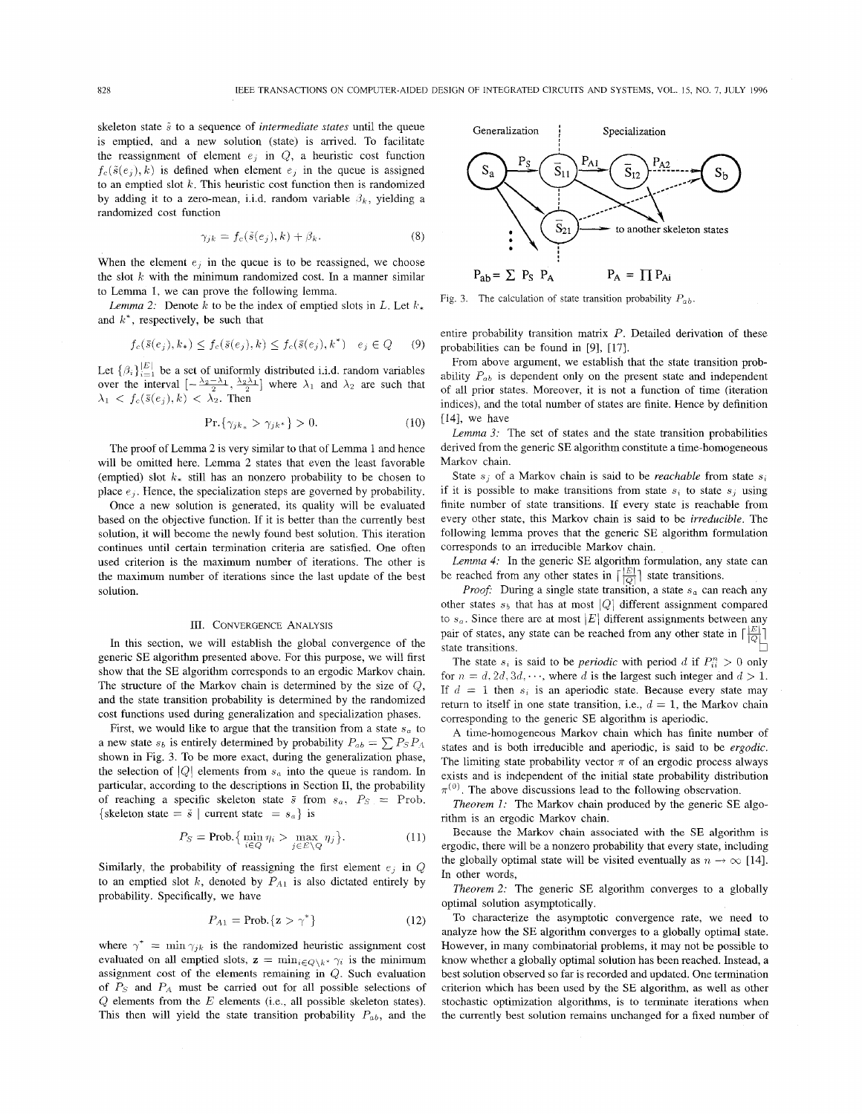skeleton state  $\tilde{s}$  to a sequence of *intermediate states* until the queue is emptied, and a new solution (state) is arrived. To facilitate the reassignment of element  $e_i$  in  $Q$ , a heuristic cost function  $f_c(\tilde{s}(e_i), k)$  is defined when element  $e_i$  in the queue is assigned to an emptied slot *k.* This heuristic cost function then is randomized by adding it to a zero-mean, i.i.d. random variable  $\beta_k$ , yielding a randomized cost function

$$
\gamma_{jk} = f_c(\tilde{s}(e_j), k) + \beta_k. \tag{8}
$$

When the element  $e_j$  in the queue is to be reassigned, we choose the slot *k* with the minimum randomized cost. In a manner similar to Lemma 1, we can prove the following lemma.

*Lemma 2:* Denote *k* to be the index of emptied slots in *L*. Let  $k_*$ <br>  $d k^*$ , respectively, be such that<br>  $f_c(\bar{s}(e_j), k_*) \le f_c(\bar{s}(e_j), k) \le f_c(\bar{s}(e_j), k^*) \quad e_j \in Q$  (9) and *k\*,* respectively, be such that

$$
f_c(\bar{s}(e_j), k_*) \le f_c(\bar{s}(e_j), k) \le f_c(\bar{s}(e_j), k^*) \quad e_j \in Q \tag{9}
$$

Let  $\{\beta_i\}_{i=1}^{|E|}$  be a set of uniformly distributed i.i.d. random variables Let  $\{\beta_i\}_{i=1}^{|E|}$  be a set of uniformly distributed i.i.d. random variables<br>over the interval  $[-\frac{\lambda_2-\lambda_1}{2}, \frac{\lambda_2\lambda_1}{2}]$  where  $\lambda_1$  and  $\lambda_2$  are such that over the interval  $\left[-\frac{\lambda_2-\lambda_1}{2}, \frac{\lambda_2\lambda_1}{2}\right]$  where  $\lambda_1$  and  $\lambda_2$  are such that  $\lambda_1 < f_c(\bar{s}(e_i), k) < \lambda_2$ . Then

$$
\Pr\{\gamma_{ik*} > \gamma_{ik*}\} > 0. \tag{10}
$$

The proof of Lemma 2 is very similar to that of Lemma 1 and hence will be omitted here. Lemma 2 states that even the least favorable (emptied) slot  $k_{\ast}$  still has an nonzero probability to be chosen to place  $e_i$ . Hence, the specialization steps are governed by probability.

Once a new solution is generated, its quality will be evaluated based on the objective function. If it is better than the currently best solution, it will become the newly found best solution. This iteration continues until certain termination criteria are satisfied. One often used criterion is the maximum number of iterations. The other is the maximum number of iterations since the last update of the best solution.

#### III. CONVERGENCE ANALYSIS

In this section, we will establish the global convergence of the generic SE algorithm presented above. For this purpose, we will first show that the SE algorithm corresponds to an ergodic Markov chain. The structure of the Markov chain is determined by the size of *Q,*  and the state transition probability is determined by the randomized cost functions used during generalization and specialization phases.

First, we would like to argue that the transition from a state *s,* to a new state  $s_b$  is entirely determined by probability  $P_{ab} = \sum P_s P_A$ shown in Fig. 3. To be more exact, during the generalization phase, the selection of IQ1 elements from *sa* into the queue is random. In particular, according to the descriptions in Section 11, the probability of reaching a specific skeleton state  $\bar{s}$  from  $s_a$ ,  $P_S$  = Prob. {skeleton state =  $\tilde{s}$  | current state =  $s_a$ } is

$$
P_S = \text{Prob.}\left\{\min_{i \in Q} \eta_i > \max_{j \in E \setminus Q} \eta_j\right\}.
$$
 (11)

Similarly, the probability of reassigning the first element  $e_i$  in  $Q$ to an emptied slot  $k$ , denoted by  $P_{A1}$  is also dictated entirely by probability. Specifically, we have

$$
P_{A1} = \text{Prob.}\{\mathbf{z} > \gamma^*\}\tag{12}
$$

where  $\gamma^* = \min \gamma_{jk}$  is the randomized heuristic assignment cost evaluated on all emptied slots,  $z = \min_{i \in Q \setminus k^*} \gamma_i$  is the minimum assignment cost of the elements remaining in *Q.* Such evaluation of  $P_S$  and  $P_A$  must be carried out for all possible selections of Q elements from the *E* elements (i.e., all possible skeleton states). This then will yield the state transition probability *Pab,* and the



Fig. 3. The calculation of state transition probability  $P_{ab}$ .

entire probability transition matrix P. Detailed derivation of these probabilities can be found in [9], [17].

From above argument, we establish that the state transition probability *Pab* is dependent only on the present state and independent of all prior states. Moreover, it is not a function of time (iteration indices), and the total number of states are finite. Hence by definition [14], we have

*Lemma 3:* The set of states and the state transition probabilities derived from the generic SE algorithm constitute a time-homogeneous Markov chain.

State  $s_i$  of a Markov chain is said to be *reachable* from state  $s_i$ if it is possible to make transitions from state  $s_i$  to state  $s_j$  using finite number of state transitions. If every state is reachable from every other state, this Markov chain is said to be *irreducible.* The following lemma proves that the generic SE algorithm formulation corresponds to an irreducible Markov chain.

*Lemma 4:* In the generic SE algorithm formulation, any state can be reached from any other states in  $\lceil \frac{|E|}{|O|} \rceil$  state transitions.

*Proof:* During a single state transition, a state  $s_a$  can reach any other states  $s_b$  that has at most  $|Q|$  different assignment compared to  $s_a$ . Since there are at most  $|E|$  different assignments between any pair of states, any state can be reached from any other state in  $\lceil \frac{|E|}{|Q|} \rceil$ . state transitions.

The state  $s_i$  is said to be *periodic* with period *d* if  $P_{ij}^n > 0$  only for  $n = d$ ,  $2d$ ,  $3d$ ,  $\cdots$ , where *d* is the largest such integer and  $d > 1$ . If  $d = 1$  then  $s_i$  is an aperiodic state. Because every state may return to itself in one state transition, i.e.,  $d = 1$ , the Markov chain corresponding to the generic SE algorithm is aperiodic.

A time-homogeneous Markov chain which has finite number of states and is both irreducible and aperiodic, is said to be *ergodic.*  The limiting state probability vector  $\pi$  of an ergodic process always exists and is independent of the initial state probability distribution  $\pi^{(0)}$ . The above discussions lead to the following observation.

*Theorem 1:* The Markov chain produced by the generic SE algorithm is an ergodic Markov chain.

Because the Markov chain associated with the SE algorithm is ergodic, there will be a nonzero probability that every state, including the globally optimal state will be visited eventually as  $n \to \infty$  [14]. In other words.

*Theorem 2:* The generic SE algorithm converges to a globally optimal solution asymptotically.

To characterize the asymptotic convergence rate, we need to analyze how the SE algorithm converges to a globally optimal state. However, in many combinatorial problems, it may not be possible to know whether a globally optimal solution has been reached. Instead, a best solution observed so far is recorded and updated. One termination criterion which has been used by the SE algorithm, as well as other stochastic optimization algorithms, is to terminate iterations when the currently best solution remains unchanged for a fixed number of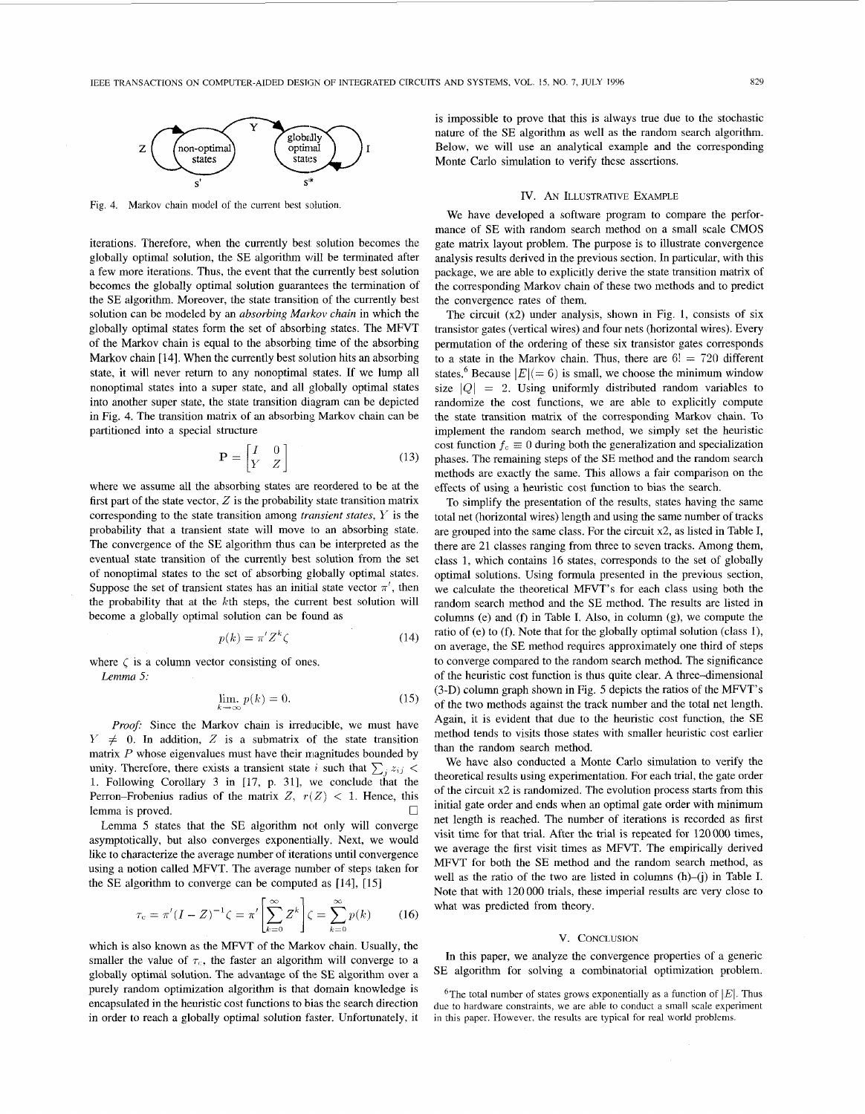

Fig. 4. Markov chain model of the current best solution.

iterations. Therefore, when the currently best solution becomes the globally optimal solution, the SE algorithm will be terminated after a few more iterations. Thus, the event that the currently best solution becomes the globally optimal solution guarantees the termination of the SE algorithm. Moreover, the state transition of the currently best solution can be modeled by an *absorbing Markov chain* in which the globally optimal states form the set of absorbing states. The MFVT of the Markov chain is equal to the absorbing time of the absorbing Markov chain [14]. When the currently best solution hits an absorbing state, it will never return to any nonoptimal states. If we lump all nonoptimal states into a super state, and all globally optimal states into another super state, the state transition diagram can be depicted in Fig. 4. The transition matrix of an absorbing Markov chain can be partitioned into a special structure

$$
\mathbf{P} = \begin{bmatrix} I & 0 \\ Y & Z \end{bmatrix} \tag{13}
$$

where we assume all the absorbing states are reordered to be at the first part of the state vector,  $Z$  is the probability state transition matrix corresponding to the state transition among *transient states, Y* is the probability that a transient state will move to an absorbing state. The convergence of the SE algorithm thus can be interpreted as the eventual state transition of the currently best solution from the set of nonoptimal states to the set of absorbing globally optimal states. Suppose the set of transient states has an initial state vector  $\pi'$ , then the probability that at the  $k$ th steps, the current best solution will become a globally optimal solution can be found as

$$
p(k) = \pi' Z^k \zeta \tag{14}
$$

where  $\zeta$  is a column vector consisting of ones. *Lemma 5:* 

$$
\lim_{k \to \infty} p(k) = 0. \tag{15}
$$

*Proof:* Since the Markov chain is irreducible, we must have  $Y \neq 0$ . In addition, Z is a submatrix of the state transition matrix *P* whose eigenvalues must have their magnitudes bounded by unity. Therefore, there exists a transient state *i* such that  $\sum_i z_{ij}$ 1. Following Corollary 3 in [17, p. 311, we conclude that the Perron-Frobenius radius of the matrix  $Z$ ,  $r(Z)$  < 1. Hence, this lemma is proved.  $\Box$ 

Lemma 5 states that the SE algorithm not only will converge asymptotically, but also converges exponentially. Next, we would like to characterize the average number of iterations until convergence using a notion called MFVT. The average number of steps taken for the SE algorithm to converge can be computed as [14], [15]

$$
\tau_c = \pi'(I - Z)^{-1} \zeta = \pi' \left[ \sum_{k=0}^{\infty} Z^k \right] \zeta = \sum_{k=0}^{\infty} p(k) \tag{16}
$$

which is also known as the MFVT of the Markov chain. Usually, the smaller the value of  $\tau_c$ , the faster an algorithm will converge to a globally optimal solution. The advantage of the SE algorithm over a purely random optimization algorithm is that domain knowledge is encapsulated in the heuristic cost functions to bias the search direction in order to reach a globally optimal solution faster. Unfortunately, it

is impossible to prove that this is always true due to the stochastic nature of the **SE** algorithm as well as the random search algorithm. Below, we will use an analytical example and the corresponding Monte Carlo simulation to verify these assertions.

#### IV. AN ILLUSTRATIVE EXAMPLE

We have developed a software program to compare the performance of SE with random search method on a small scale CMOS gate matrix layout problem. The purpose is to illustrate convergence analysis results derived in the previous section. In particular, with this package, we are able to explicitly derive the state transition matrix of the corresponding Markov chain of these two methods and to predict the convergence rates of them.

The circuit (x2) under analysis, shown in Fig. **1,** consists of six transistor gates (vertical wires) and four nets (horizontal wires). Every permutation of the ordering of these six transistor gates corresponds to a state in the Markov chain. Thus, there are  $6! = 720$  different states.<sup>6</sup> Because  $|E| (= 6)$  is small, we choose the minimum window size  $|Q| = 2$ . Using uniformly distributed random variables to randomize the cost functions, we are able to explicitly compute the state transition matrix of the corresponding Markov chain. To implement the random search method, we simply set the heuristic cost function  $f_c \equiv 0$  during both the generalization and specialization phases. The remaining steps of the SE method and the random search methods are exactly the same. This allows a fair comparison on the effects of using a heuristic cost function to bias the search.

To simplify the presentation of the results, states having the same total net (horizontal wires) length and using the same number of tracks are grouped into the same class. For the circuit x2, as listed in Table I, there are 21 classes ranging from three to seven tracks. Among them, class I, which contains 16 states, corresponds to the set of globally optimal solutions. Using formula presented in the previous section, we calculate the theoretical MFVT's for each class using both the random search method and the SE method. The results are listed in columns (e) and (f) in Table I. Also, in column (g), we compute the ratio of (e) to (f). Note that for the globally optimal solution (class 1), on average, the SE method requires approximately one third of steps to converge compared to the random search method. The significance of the heuristic cost function is thus quite clear. A three-dimensional (3-D) column graph shown in [Fig. 5](#page-4-0) depicts the ratios of the MFVT's of the two methods against the track number and the total net length. Again, it is evident that due to the heuristic cost function, the SE method tends to visits those states with smaller heuristic cost earlier than the random search method.

We have also conducted a Monte Carlo simulation to verify the theoretical results using experimentation. For each trial, the gate order of the circuit x2 is randomized. The evolution process starts from this initial gate order and ends when an optimal gate order with minimum net length is reached. The number of iterations is recorded as first visit time for that trial. After the trial is repeated for 120 000 times, we average the first visit times as MFVT. The empirically derived MFVT for both the SE method and the random search method, as well as the ratio of the two are listed in columns (h)-(i) in Table I. Note that with 120 000 trials, these imperial results are very close to what was predicted from theory.

### V. CONCLUSION

In this paper, we analyze the convergence properties of a generic SE algorithm for solving a combinatorial optimization problem.

<sup>6</sup>The total number of states grows exponentially as a function of  $|E|$ . Thus due to hardware constraints, we are able to conduct a small scale experiment in this paper. However, the results are typical for real world problems.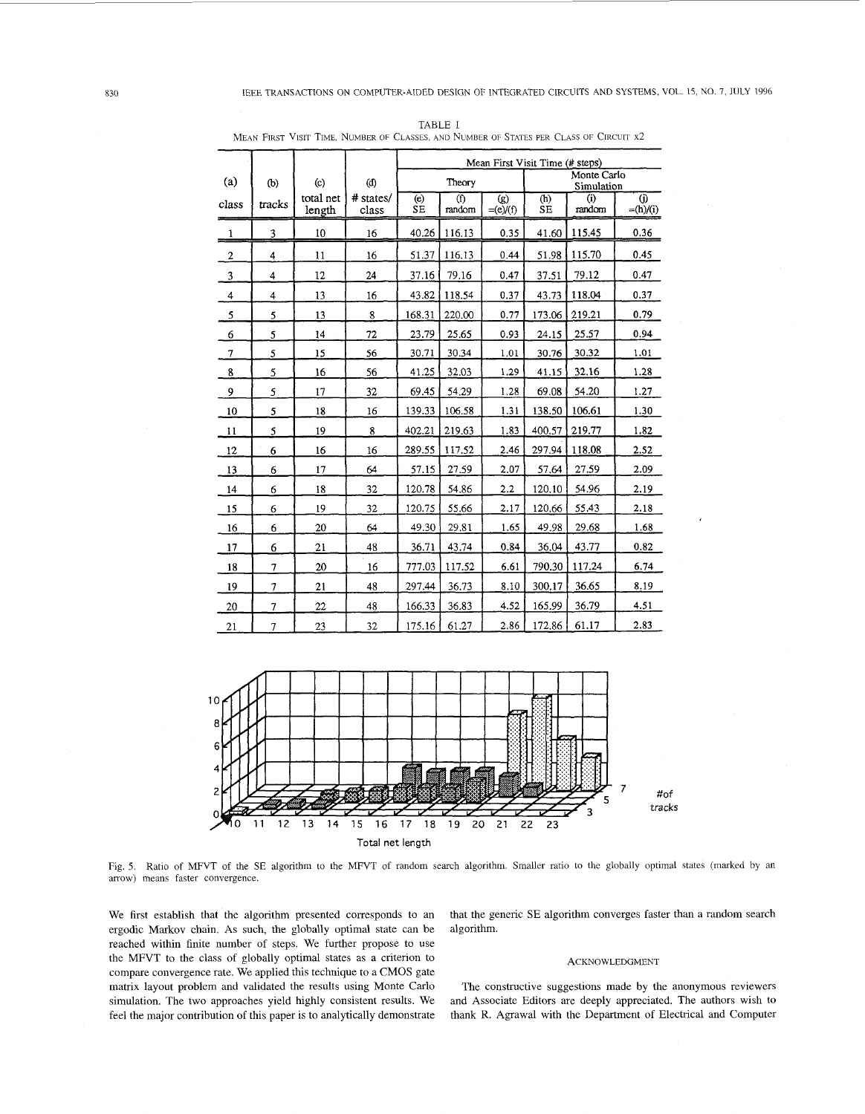|                |                         |                     |                    | Mean First Visit Time (# steps) |               |                                 |                           |               |                                   |
|----------------|-------------------------|---------------------|--------------------|---------------------------------|---------------|---------------------------------|---------------------------|---------------|-----------------------------------|
| (a)            | (b)                     | (c)                 | (d)                | Theory                          |               |                                 | Monte Carlo<br>Simulation |               |                                   |
| class          | tracks                  | total net<br>length | # states/<br>class | (e)<br><b>SE</b>                | (f)<br>random | $\left( g\right)$<br>$=(e)/(f)$ | (h)<br><b>SE</b>          | (i)<br>random | $\ddot{\mathbf{0}}$<br>$=(h)/(i)$ |
| 1              | 3                       | 10                  | 16                 | 40.26                           | 116.13        | 0.35                            | 41.60                     | 115.45        | 0.36                              |
| $\overline{2}$ | $\overline{\mathbf{4}}$ | 11                  | 16                 | 51.37                           | 116.13        | 0.44                            | 51.98                     | 115.70        | 0.45                              |
| 3              | 4                       | 12                  | 24                 | 37.16                           | 79.16         | 0.47                            | 37.51                     | 79.12         | 0.47                              |
| $\overline{4}$ | 4                       | 13                  | 16                 | 43.82                           | 118.54        | 0.37                            | 43.73                     | 118.04        | 0.37                              |
| $\mathcal{F}$  | 5                       | 13                  | 8                  | 168.31                          | 220.00        | 0.77                            | 173.06                    | 219.21        | 0.79                              |
| -6             | 5                       | 14                  | 72                 | 23.79                           | 25.65         | 0.93                            | 24.15                     | 25.57         | 0.94                              |
| $\tau$         | 5                       | 15                  | 56                 | 30.71                           | 30.34         | 1.01                            | 30.76                     | 30.32         | 1.01                              |
| 8              | 5                       | 16                  | 56                 | 41.25                           | 32.03         | 1.29                            | 41.15                     | 32.16         | 1.28                              |
| 9              | 5                       | 17                  | 32                 | 69.45                           | 54.29         | 1.28                            | 69.08                     | 54.20         | 1.27                              |
| 10             | 5                       | 18                  | 16                 | 139.33                          | 106.58        | 1.31                            | 138.50                    | 106.61        | 1.30                              |
| 11             | 5                       | 19                  | 8                  | 402.21                          | 219.63        | 1.83                            | 400.57                    | 219.77        | 1.82                              |
| 12             | 6                       | 16                  | 16                 | 289.55                          | 117.52        | 2.46                            | 297.94                    | 118.08        | 2.52                              |
| 13             | 6                       | 17                  | 64                 | 57.15                           | 27.59         | 2.07                            | 57.64                     | 27.59         | 2.09                              |
| 14             | 6                       | 18                  | 32                 | 120.78                          | 54.86         | 2.2                             | 120.10                    | 54.96         | 2.19                              |
| 15             | 6                       | 19                  | 32                 | 120.75                          | 55.66         | 2.17                            | 120.66                    | 55.43         | 2.18                              |
| 16             | 6                       | 20                  | 64                 | 49.30                           | 29.81         | 1.65                            | 49.98                     | 29.68         | 1.68                              |
| 17             | 6                       | 21                  | 48                 | 36.71                           | 43.74         | 0.84                            | 36.04                     | 43.77         | 0.82                              |
| 18             | $\overline{7}$          | 20                  | 16                 | 777.03                          | 117.52        | 6.61                            | 790.30                    | 117.24        | 6.74                              |
| 19             |                         | 21                  | 48                 | 297.44                          | 36.73         | 8.10                            | 300.17                    | 36.65         | 8.19                              |
| 20             | $\overline{7}$          | 22                  | 48                 | 166.33                          | 36.83         | 4.52                            | 165.99                    | 36.79         | 4.51                              |
| 21             | $\overline{7}$          | 23                  | 32                 | 175.16                          | 61.27         | 2.86                            | 172.86                    | 61.17         | 2.83                              |

<span id="page-4-0"></span>TABLE I MEAN FIRST VISIT TIME, NUMBER OF CLASSES, AND NUMBER OF STATES PER CLASS OF CIRCUIT x2



Fig. *5.*  Ratio of MFVT of the SE algorithm to the MFVT of random search algorithm. Smaller ratio to the globally optimal states (marked by an arrow) means faster convergence.

We first establish that the algorithm presented corresponds to an ergodic Markov chain. **As** such, the globally optimal state can be reached within finite number of steps. We further propose to use the MFVT to the class of globally optimal states **as a** criterion to compare convergence rate. We applied this technique to **a** CMOS gate matrix layout problem and validated the results using Monte Carlo simulation. The two approaches yield highly consistent results. We feel the major contribution of this paper is to analytically demonstrate

that the generic SE algorithm converges faster than a random search algorithm.

### ACKNOWLEDGMENT

The constructive suggestions made by the anonymous reviewers and Associate Editors are deeply appreciated. The authors wish to thank R. Agrawal with the Department of Electrical and Computer